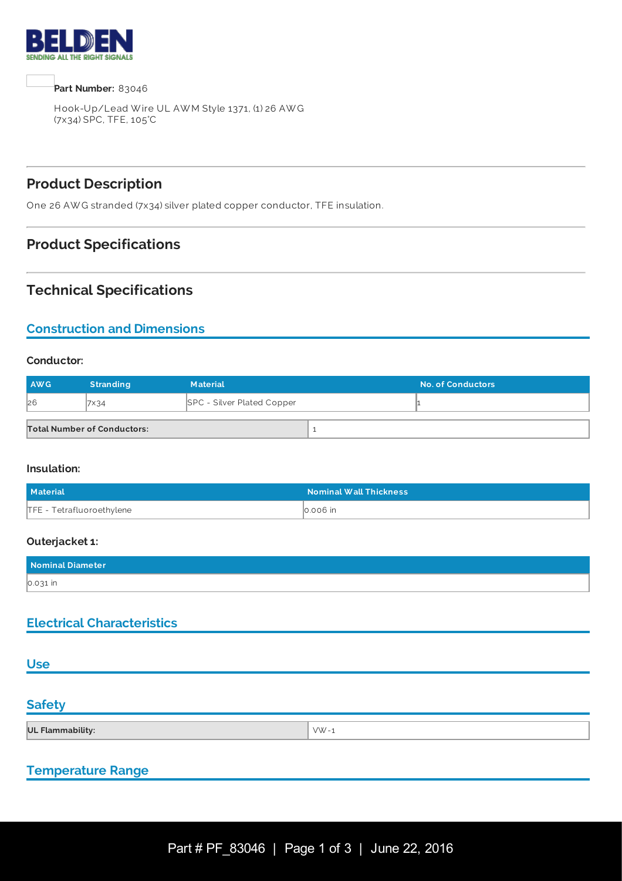

**Part Number:** 83046

Hook-Up/Lead W ire UL AW M Style 1371, (1) 26 AW G (7x34) SPC, TFE, 105°C

# **Product Description**

One 26 AW G stranded (7x34) silver plated copper conductor, TFE insulation.

## **Product Specifications**

## **Technical Specifications**

# **Construction and Dimensions**

#### **Conductor:**

| <b>AWG</b> | <b>Stranding</b>                   | <b>Material</b>                   | <b>No. of Conductors</b> |
|------------|------------------------------------|-----------------------------------|--------------------------|
| 26         | VX34                               | <b>SPC - Silver Plated Copper</b> |                          |
|            | <b>Total Number of Conductors:</b> |                                   |                          |

#### **Insulation:**

| Material                  | <b>Nominal Wall Thickness</b> |
|---------------------------|-------------------------------|
| TFE - Tetrafluoroethylene | $\vert$ 0.006 in              |

#### **Outerjacket 1:**

| Nominal Diameter |  |
|------------------|--|
| 0.031 in         |  |

### **Electrical Characteristics**

### **Use**

### **Safety**

| UL Flammability:<br>$\frac{1}{\sqrt{2}}$ |
|------------------------------------------|
|------------------------------------------|

### **Temperature Range**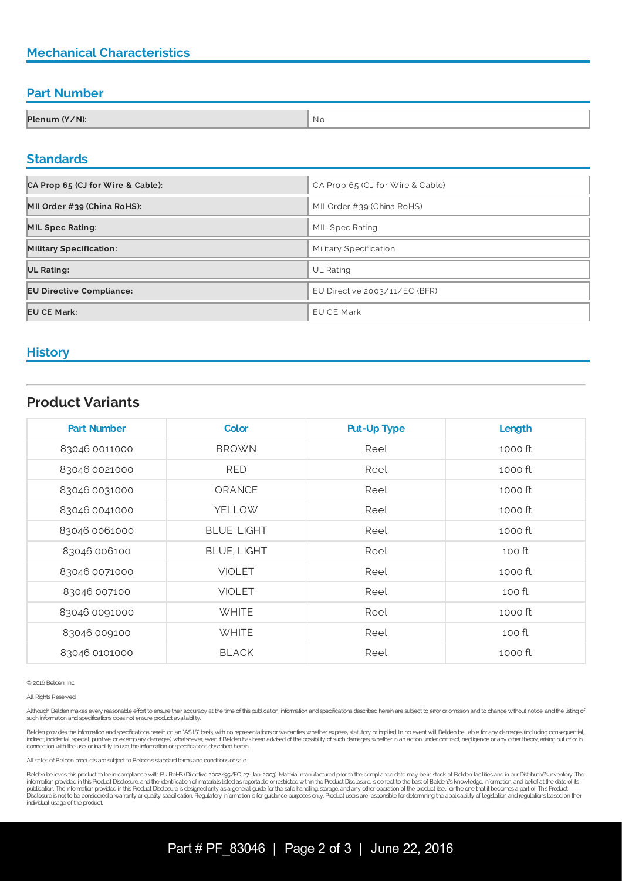# **Mechanical Characteristics**

### **Part Number**

| Plenum (Y/N): | NI. |
|---------------|-----|

#### **Standards**

| CA Prop 65 (CJ for Wire & Cable): | CA Prop 65 (CJ for Wire & Cable) |  |
|-----------------------------------|----------------------------------|--|
| MII Order #39 (China RoHS):       | MII Order #39 (China RoHS)       |  |
| <b>MIL Spec Rating:</b>           | MIL Spec Rating                  |  |
| <b>Military Specification:</b>    | Military Specification           |  |
| <b>UL Rating:</b>                 | <b>UL Rating</b>                 |  |
| <b>EU Directive Compliance:</b>   | EU Directive 2003/11/EC (BFR)    |  |
| <b>EU CE Mark:</b>                | <b>EU CE Mark</b>                |  |

### **History**

## **Product Variants**

| <b>Part Number</b> | <b>Color</b>       | <b>Put-Up Type</b> | Length  |
|--------------------|--------------------|--------------------|---------|
| 83046 0011000      | <b>BROWN</b>       | Reel               | 1000 ft |
| 83046 0021000      | <b>RED</b>         | Reel               | 1000 ft |
| 83046 0031000      | ORANGE             | Reel               | 1000 ft |
| 83046 0041000      | <b>YELLOW</b>      | Reel               | 1000 ft |
| 83046 0061000      | <b>BLUE, LIGHT</b> | Reel               | 1000 ft |
| 83046 006100       | <b>BLUE, LIGHT</b> | Reel               | 100 ft  |
| 83046 0071000      | <b>VIOLET</b>      | Reel               | 1000 ft |
| 83046 007100       | <b>VIOLET</b>      | Reel               | 100 ft  |
| 83046 0091000      | <b>WHITE</b>       | Reel               | 1000 ft |
| 83046 009100       | <b>WHITE</b>       | Reel               | 100 ft  |
| 83046 0101000      | <b>BLACK</b>       | Reel               | 1000 ft |

© 2016 Belden, Inc

All Rights Reserved.

Although Belden makes every reasonable effort to ensure their accuracy at the time of this publication, information and specifications described herein are subject to error or ornission and to change without notice, and th such information and specifications does not ensure product availability.

Belden provides the information and specifications herein on an "ASIS" basis, with no representations or warranties, whether express, statutory or implied. In no event will Belden be liable for any damages (including conse indirect, incidental, special, punitive, or exemplary damages) whatsoever, even if Belden has been advised of the possibility of such damages, whether in an action under contract, negligence or any other theory, arising ou

All sales of Belden products are subject to Belden's standard terms and conditions of sale.

Belden believes this product to be in compliance with EU RoHS (Directive 2002/95/EC, 27-Jan-2003). Material manufactured prior to the compliance date may be in stock at Belden facilities and in our Distributor?s inventory. publication. The information provided in this Product Disclosure is designed only as a general guide for the safe handling storage, and any other operation of the product itself or the one that it becomes a part of. This P individual usage of the product.